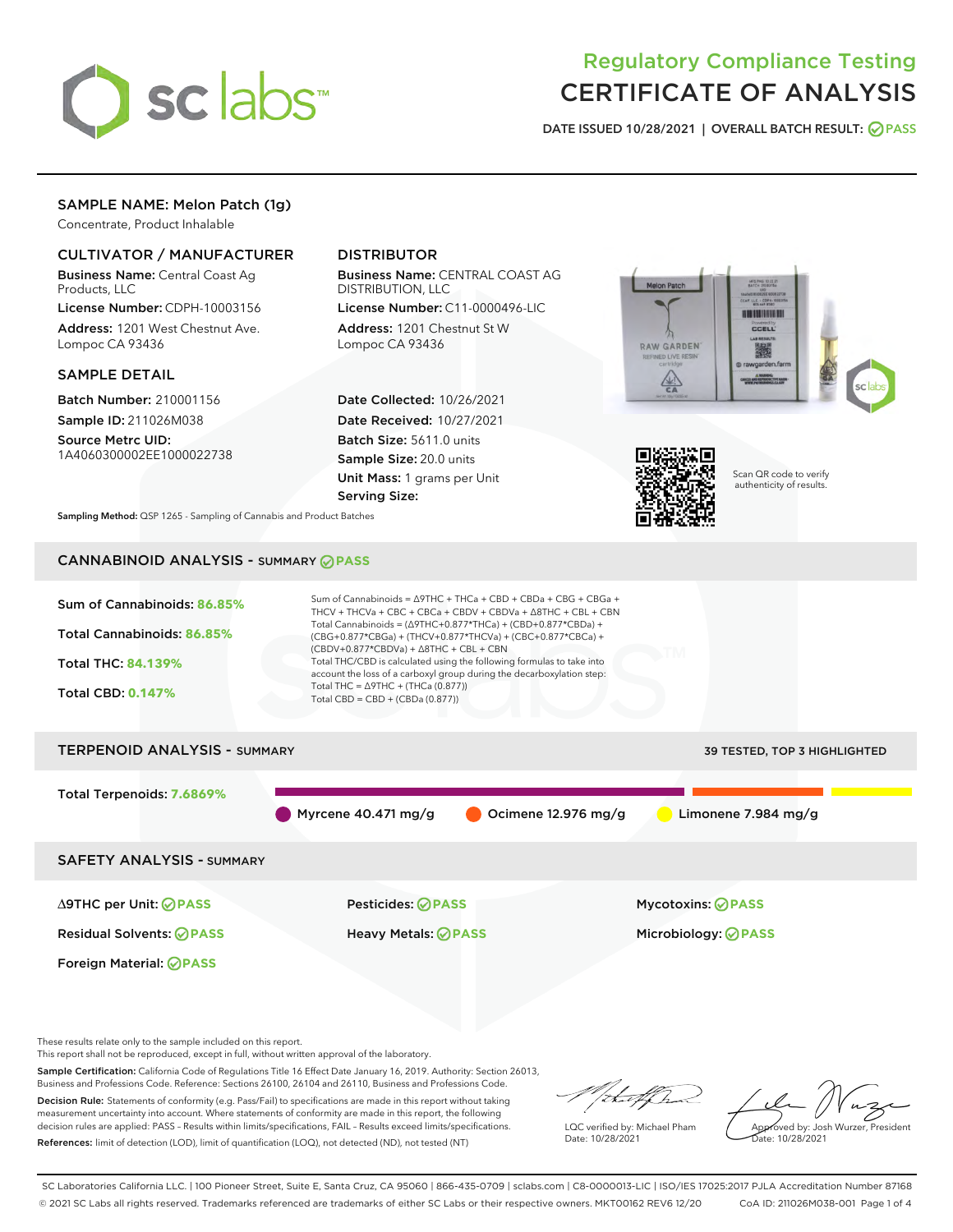

# Regulatory Compliance Testing CERTIFICATE OF ANALYSIS

DATE ISSUED 10/28/2021 | OVERALL BATCH RESULT: @ PASS

# SAMPLE NAME: Melon Patch (1g)

Concentrate, Product Inhalable

# CULTIVATOR / MANUFACTURER

Business Name: Central Coast Ag Products, LLC

License Number: CDPH-10003156 Address: 1201 West Chestnut Ave. Lompoc CA 93436

## SAMPLE DETAIL

Batch Number: 210001156 Sample ID: 211026M038 Source Metrc UID:

1A4060300002EE1000022738

# DISTRIBUTOR

Business Name: CENTRAL COAST AG DISTRIBUTION, LLC

License Number: C11-0000496-LIC Address: 1201 Chestnut St W Lompoc CA 93436

Date Collected: 10/26/2021 Date Received: 10/27/2021 Batch Size: 5611.0 units Sample Size: 20.0 units Unit Mass: 1 grams per Unit Serving Size:





Scan QR code to verify authenticity of results.

Sampling Method: QSP 1265 - Sampling of Cannabis and Product Batches

# CANNABINOID ANALYSIS - SUMMARY **PASS**



This report shall not be reproduced, except in full, without written approval of the laboratory.

Sample Certification: California Code of Regulations Title 16 Effect Date January 16, 2019. Authority: Section 26013, Business and Professions Code. Reference: Sections 26100, 26104 and 26110, Business and Professions Code.

Decision Rule: Statements of conformity (e.g. Pass/Fail) to specifications are made in this report without taking measurement uncertainty into account. Where statements of conformity are made in this report, the following decision rules are applied: PASS – Results within limits/specifications, FAIL – Results exceed limits/specifications. References: limit of detection (LOD), limit of quantification (LOQ), not detected (ND), not tested (NT)

that fCh

LQC verified by: Michael Pham Date: 10/28/2021

Approved by: Josh Wurzer, President Date: 10/28/2021

SC Laboratories California LLC. | 100 Pioneer Street, Suite E, Santa Cruz, CA 95060 | 866-435-0709 | sclabs.com | C8-0000013-LIC | ISO/IES 17025:2017 PJLA Accreditation Number 87168 © 2021 SC Labs all rights reserved. Trademarks referenced are trademarks of either SC Labs or their respective owners. MKT00162 REV6 12/20 CoA ID: 211026M038-001 Page 1 of 4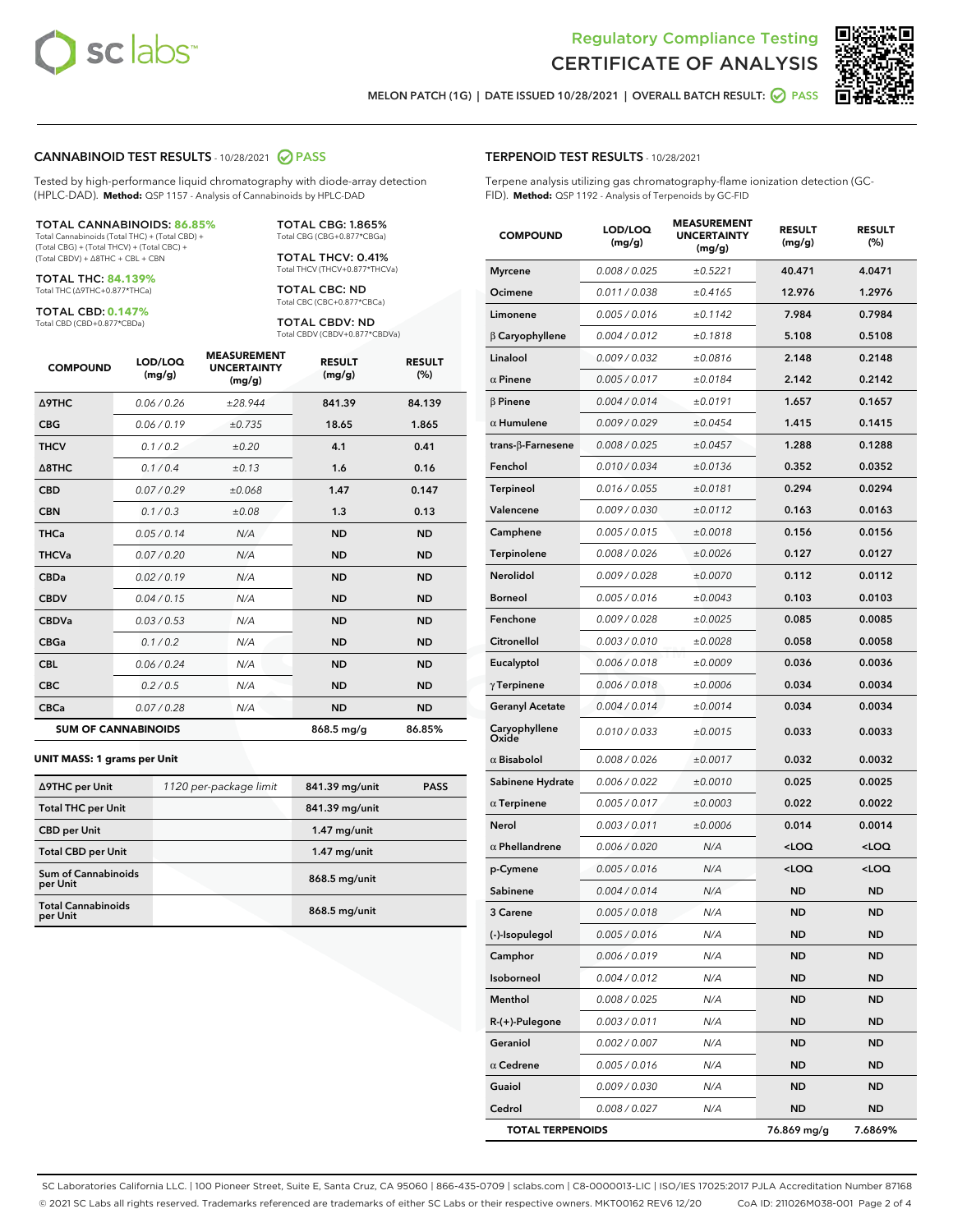



MELON PATCH (1G) | DATE ISSUED 10/28/2021 | OVERALL BATCH RESULT: @ PASS

## CANNABINOID TEST RESULTS - 10/28/2021 2 PASS

Tested by high-performance liquid chromatography with diode-array detection (HPLC-DAD). **Method:** QSP 1157 - Analysis of Cannabinoids by HPLC-DAD

#### TOTAL CANNABINOIDS: **86.85%**

Total Cannabinoids (Total THC) + (Total CBD) + (Total CBG) + (Total THCV) + (Total CBC) + (Total CBDV) + ∆8THC + CBL + CBN

TOTAL THC: **84.139%** Total THC (∆9THC+0.877\*THCa)

TOTAL CBD: **0.147%**

Total CBD (CBD+0.877\*CBDa)

TOTAL CBG: 1.865% Total CBG (CBG+0.877\*CBGa)

TOTAL THCV: 0.41% Total THCV (THCV+0.877\*THCVa)

TOTAL CBC: ND Total CBC (CBC+0.877\*CBCa)

TOTAL CBDV: ND Total CBDV (CBDV+0.877\*CBDVa)

| <b>COMPOUND</b>            | LOD/LOQ<br>(mg/g) | <b>MEASUREMENT</b><br><b>UNCERTAINTY</b><br>(mg/g) | <b>RESULT</b><br>(mg/g) | <b>RESULT</b><br>(%) |
|----------------------------|-------------------|----------------------------------------------------|-------------------------|----------------------|
| <b>A9THC</b>               | 0.06 / 0.26       | ±28.944                                            | 841.39                  | 84.139               |
| <b>CBG</b>                 | 0.06 / 0.19       | ±0.735                                             | 18.65                   | 1.865                |
| <b>THCV</b>                | 0.1 / 0.2         | ±0.20                                              | 4.1                     | 0.41                 |
| $\triangle$ 8THC           | 0.1/0.4           | ±0.13                                              | 1.6                     | 0.16                 |
| <b>CBD</b>                 | 0.07/0.29         | ±0.068                                             | 1.47                    | 0.147                |
| <b>CBN</b>                 | 0.1/0.3           | ±0.08                                              | 1.3                     | 0.13                 |
| <b>THCa</b>                | 0.05/0.14         | N/A                                                | <b>ND</b>               | <b>ND</b>            |
| <b>THCVa</b>               | 0.07/0.20         | N/A                                                | <b>ND</b>               | <b>ND</b>            |
| <b>CBDa</b>                | 0.02/0.19         | N/A                                                | <b>ND</b>               | <b>ND</b>            |
| <b>CBDV</b>                | 0.04 / 0.15       | N/A                                                | <b>ND</b>               | <b>ND</b>            |
| <b>CBDVa</b>               | 0.03/0.53         | N/A                                                | <b>ND</b>               | <b>ND</b>            |
| <b>CBGa</b>                | 0.1/0.2           | N/A                                                | <b>ND</b>               | <b>ND</b>            |
| <b>CBL</b>                 | 0.06 / 0.24       | N/A                                                | <b>ND</b>               | <b>ND</b>            |
| <b>CBC</b>                 | 0.2 / 0.5         | N/A                                                | <b>ND</b>               | <b>ND</b>            |
| <b>CBCa</b>                | 0.07/0.28         | N/A                                                | <b>ND</b>               | <b>ND</b>            |
| <b>SUM OF CANNABINOIDS</b> |                   |                                                    | 868.5 mg/g              | 86.85%               |

### **UNIT MASS: 1 grams per Unit**

| ∆9THC per Unit                         | 1120 per-package limit | 841.39 mg/unit | <b>PASS</b> |
|----------------------------------------|------------------------|----------------|-------------|
| <b>Total THC per Unit</b>              |                        | 841.39 mg/unit |             |
| <b>CBD per Unit</b>                    |                        | $1.47$ mg/unit |             |
| <b>Total CBD per Unit</b>              |                        | $1.47$ mg/unit |             |
| <b>Sum of Cannabinoids</b><br>per Unit |                        | 868.5 mg/unit  |             |
| <b>Total Cannabinoids</b><br>per Unit  |                        | 868.5 mg/unit  |             |

# TERPENOID TEST RESULTS - 10/28/2021

Terpene analysis utilizing gas chromatography-flame ionization detection (GC-FID). **Method:** QSP 1192 - Analysis of Terpenoids by GC-FID

| <b>COMPOUND</b>         | LOD/LOQ<br>(mg/g) | <b>MEASUREMENT</b><br><b>UNCERTAINTY</b><br>(mg/g) | <b>RESULT</b><br>(mg/g)                         | <b>RESULT</b><br>(%) |
|-------------------------|-------------------|----------------------------------------------------|-------------------------------------------------|----------------------|
| <b>Myrcene</b>          | 0.008 / 0.025     | ±0.5221                                            | 40.471                                          | 4.0471               |
| Ocimene                 | 0.011 / 0.038     | ±0.4165                                            | 12.976                                          | 1.2976               |
| Limonene                | 0.005 / 0.016     | ±0.1142                                            | 7.984                                           | 0.7984               |
| $\beta$ Caryophyllene   | 0.004 / 0.012     | ±0.1818                                            | 5.108                                           | 0.5108               |
| Linalool                | 0.009 / 0.032     | ±0.0816                                            | 2.148                                           | 0.2148               |
| $\alpha$ Pinene         | 0.005 / 0.017     | ±0.0184                                            | 2.142                                           | 0.2142               |
| $\beta$ Pinene          | 0.004 / 0.014     | ±0.0191                                            | 1.657                                           | 0.1657               |
| $\alpha$ Humulene       | 0.009 / 0.029     | ±0.0454                                            | 1.415                                           | 0.1415               |
| trans-β-Farnesene       | 0.008 / 0.025     | ±0.0457                                            | 1.288                                           | 0.1288               |
| Fenchol                 | 0.010 / 0.034     | ±0.0136                                            | 0.352                                           | 0.0352               |
| Terpineol               | 0.016 / 0.055     | ±0.0181                                            | 0.294                                           | 0.0294               |
| Valencene               | 0.009 / 0.030     | ±0.0112                                            | 0.163                                           | 0.0163               |
| Camphene                | 0.005 / 0.015     | ±0.0018                                            | 0.156                                           | 0.0156               |
| Terpinolene             | 0.008 / 0.026     | ±0.0026                                            | 0.127                                           | 0.0127               |
| <b>Nerolidol</b>        | 0.009 / 0.028     | ±0.0070                                            | 0.112                                           | 0.0112               |
| <b>Borneol</b>          | 0.005 / 0.016     | ±0.0043                                            | 0.103                                           | 0.0103               |
| Fenchone                | 0.009 / 0.028     | ±0.0025                                            | 0.085                                           | 0.0085               |
| Citronellol             | 0.003 / 0.010     | ±0.0028                                            | 0.058                                           | 0.0058               |
| Eucalyptol              | 0.006 / 0.018     | ±0.0009                                            | 0.036                                           | 0.0036               |
| $\gamma$ Terpinene      | 0.006 / 0.018     | ±0.0006                                            | 0.034                                           | 0.0034               |
| <b>Geranyl Acetate</b>  | 0.004 / 0.014     | ±0.0014                                            | 0.034                                           | 0.0034               |
| Caryophyllene<br>Oxide  | 0.010 / 0.033     | ±0.0015                                            | 0.033                                           | 0.0033               |
| $\alpha$ Bisabolol      | 0.008 / 0.026     | ±0.0017                                            | 0.032                                           | 0.0032               |
| Sabinene Hydrate        | 0.006 / 0.022     | ±0.0010                                            | 0.025                                           | 0.0025               |
| $\alpha$ Terpinene      | 0.005 / 0.017     | ±0.0003                                            | 0.022                                           | 0.0022               |
| Nerol                   | 0.003 / 0.011     | ±0.0006                                            | 0.014                                           | 0.0014               |
| $\alpha$ Phellandrene   | 0.006 / 0.020     | N/A                                                | $<$ LOQ                                         | $<$ LOQ              |
| p-Cymene                | 0.005 / 0.016     | N/A                                                | <loq< th=""><th><loq< th=""></loq<></th></loq<> | <loq< th=""></loq<>  |
| Sabinene                | 0.004 / 0.014     | N/A                                                | <b>ND</b>                                       | <b>ND</b>            |
| <b>3 Carene</b>         | 0.005 / 0.018     | N/A                                                | ND                                              | <b>ND</b>            |
| (-)-Isopulegol          | 0.005 / 0.016     | N/A                                                | ND                                              | <b>ND</b>            |
| Camphor                 | 0.006 / 0.019     | N/A                                                | ND                                              | <b>ND</b>            |
| Isoborneol              | 0.004 / 0.012     | N/A                                                | <b>ND</b>                                       | <b>ND</b>            |
| Menthol                 | 0.008 / 0.025     | N/A                                                | <b>ND</b>                                       | ND                   |
| R-(+)-Pulegone          | 0.003 / 0.011     | N/A                                                | <b>ND</b>                                       | <b>ND</b>            |
| Geraniol                | 0.002 / 0.007     | N/A                                                | <b>ND</b>                                       | <b>ND</b>            |
| $\alpha$ Cedrene        | 0.005 / 0.016     | N/A                                                | <b>ND</b>                                       | ND                   |
| Guaiol                  | 0.009 / 0.030     | N/A                                                | ND                                              | ND                   |
| Cedrol                  | 0.008 / 0.027     | N/A                                                | <b>ND</b>                                       | <b>ND</b>            |
| <b>TOTAL TERPENOIDS</b> |                   |                                                    | 76.869 mg/g                                     | 7.6869%              |

SC Laboratories California LLC. | 100 Pioneer Street, Suite E, Santa Cruz, CA 95060 | 866-435-0709 | sclabs.com | C8-0000013-LIC | ISO/IES 17025:2017 PJLA Accreditation Number 87168 © 2021 SC Labs all rights reserved. Trademarks referenced are trademarks of either SC Labs or their respective owners. MKT00162 REV6 12/20 CoA ID: 211026M038-001 Page 2 of 4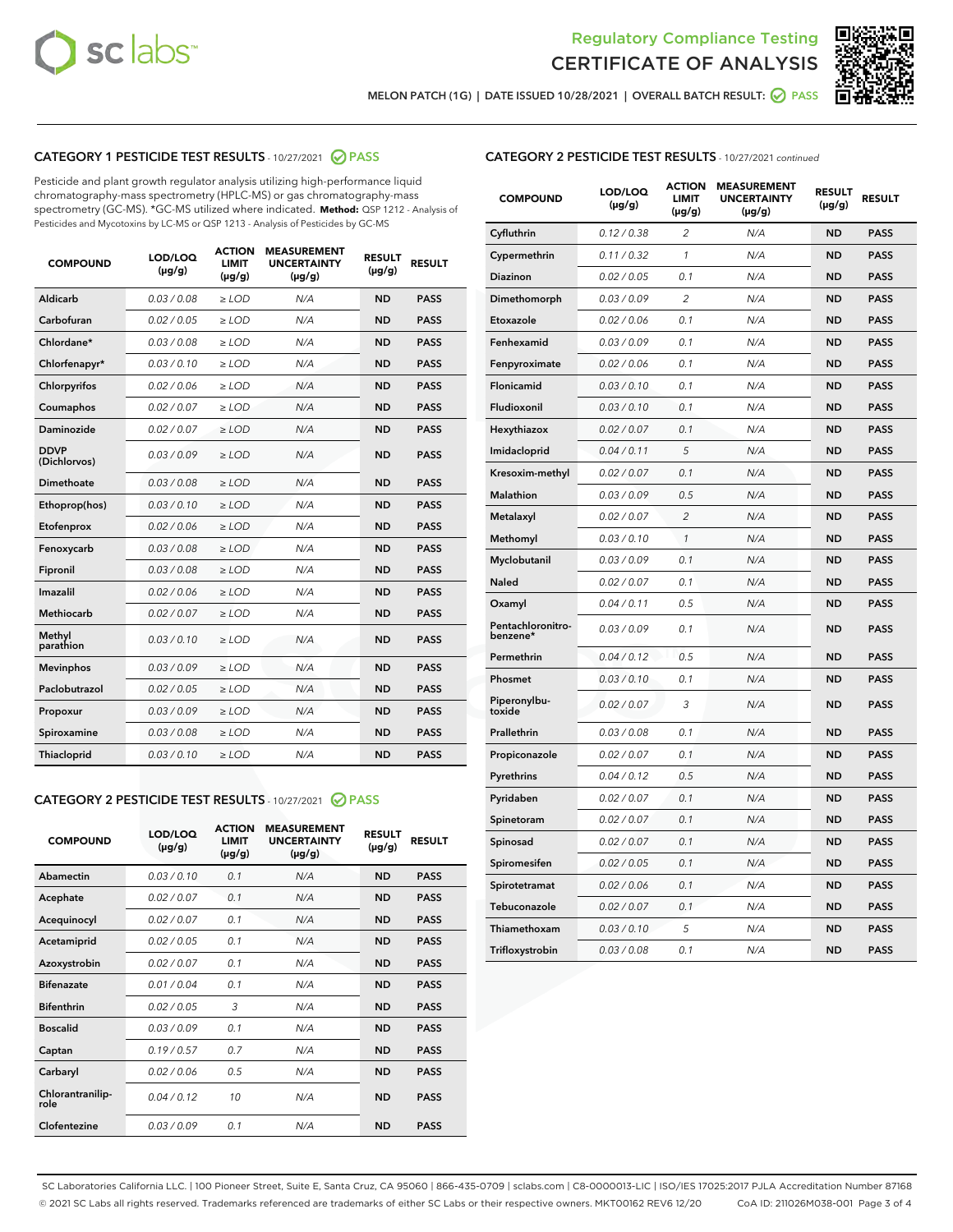



MELON PATCH (1G) | DATE ISSUED 10/28/2021 | OVERALL BATCH RESULT:  $\bigcirc$  PASS

# CATEGORY 1 PESTICIDE TEST RESULTS - 10/27/2021 2 PASS

Pesticide and plant growth regulator analysis utilizing high-performance liquid chromatography-mass spectrometry (HPLC-MS) or gas chromatography-mass spectrometry (GC-MS). \*GC-MS utilized where indicated. **Method:** QSP 1212 - Analysis of Pesticides and Mycotoxins by LC-MS or QSP 1213 - Analysis of Pesticides by GC-MS

| <b>Aldicarb</b><br>0.03 / 0.08<br><b>ND</b><br>$\ge$ LOD<br>N/A<br><b>PASS</b><br>Carbofuran<br>0.02/0.05<br>$\ge$ LOD<br>N/A<br><b>ND</b><br><b>PASS</b><br>Chlordane*<br>0.03 / 0.08<br><b>ND</b><br>$>$ LOD<br>N/A<br><b>PASS</b><br>0.03/0.10<br><b>ND</b><br><b>PASS</b><br>Chlorfenapyr*<br>$\ge$ LOD<br>N/A<br>0.02 / 0.06<br>N/A<br><b>ND</b><br><b>PASS</b><br>Chlorpyrifos<br>$\ge$ LOD<br>0.02 / 0.07<br>N/A<br><b>ND</b><br><b>PASS</b><br>Coumaphos<br>$>$ LOD<br>Daminozide<br>0.02 / 0.07<br>$\ge$ LOD<br>N/A<br><b>ND</b><br><b>PASS</b><br><b>DDVP</b><br>0.03/0.09<br>$\ge$ LOD<br>N/A<br><b>ND</b><br><b>PASS</b><br>(Dichlorvos)<br>Dimethoate<br><b>ND</b><br><b>PASS</b><br>0.03 / 0.08<br>$>$ LOD<br>N/A<br>Ethoprop(hos)<br>0.03/0.10<br>$\ge$ LOD<br>N/A<br><b>ND</b><br><b>PASS</b><br>0.02/0.06<br>$\ge$ LOD<br>N/A<br><b>ND</b><br><b>PASS</b><br>Etofenprox<br>Fenoxycarb<br>0.03 / 0.08<br>$>$ LOD<br>N/A<br><b>ND</b><br><b>PASS</b><br>0.03 / 0.08<br><b>ND</b><br><b>PASS</b><br>Fipronil<br>$\ge$ LOD<br>N/A<br>Imazalil<br>0.02 / 0.06<br>$>$ LOD<br>N/A<br><b>ND</b><br><b>PASS</b><br>0.02 / 0.07<br>Methiocarb<br>N/A<br><b>ND</b><br>$>$ LOD<br><b>PASS</b><br>Methyl<br>0.03/0.10<br>$\ge$ LOD<br>N/A<br><b>ND</b><br><b>PASS</b><br>parathion<br>0.03/0.09<br>$\ge$ LOD<br>N/A<br><b>ND</b><br><b>PASS</b><br><b>Mevinphos</b><br>Paclobutrazol<br>0.02 / 0.05<br>$\ge$ LOD<br>N/A<br><b>ND</b><br><b>PASS</b><br>0.03/0.09<br>N/A<br>$\ge$ LOD<br><b>ND</b><br><b>PASS</b><br>Propoxur<br>0.03 / 0.08<br><b>ND</b><br><b>PASS</b><br>Spiroxamine<br>$\ge$ LOD<br>N/A<br><b>PASS</b><br>Thiacloprid<br>0.03/0.10<br>$\ge$ LOD<br>N/A<br><b>ND</b> | <b>COMPOUND</b> | LOD/LOQ<br>$(\mu g/g)$ | <b>ACTION</b><br>LIMIT<br>$(\mu g/g)$ | <b>MEASUREMENT</b><br><b>UNCERTAINTY</b><br>$(\mu g/g)$ | <b>RESULT</b><br>$(\mu g/g)$ | <b>RESULT</b> |
|--------------------------------------------------------------------------------------------------------------------------------------------------------------------------------------------------------------------------------------------------------------------------------------------------------------------------------------------------------------------------------------------------------------------------------------------------------------------------------------------------------------------------------------------------------------------------------------------------------------------------------------------------------------------------------------------------------------------------------------------------------------------------------------------------------------------------------------------------------------------------------------------------------------------------------------------------------------------------------------------------------------------------------------------------------------------------------------------------------------------------------------------------------------------------------------------------------------------------------------------------------------------------------------------------------------------------------------------------------------------------------------------------------------------------------------------------------------------------------------------------------------------------------------------------------------------------------------------------------------------------------------------------------------------------------------------|-----------------|------------------------|---------------------------------------|---------------------------------------------------------|------------------------------|---------------|
|                                                                                                                                                                                                                                                                                                                                                                                                                                                                                                                                                                                                                                                                                                                                                                                                                                                                                                                                                                                                                                                                                                                                                                                                                                                                                                                                                                                                                                                                                                                                                                                                                                                                                            |                 |                        |                                       |                                                         |                              |               |
|                                                                                                                                                                                                                                                                                                                                                                                                                                                                                                                                                                                                                                                                                                                                                                                                                                                                                                                                                                                                                                                                                                                                                                                                                                                                                                                                                                                                                                                                                                                                                                                                                                                                                            |                 |                        |                                       |                                                         |                              |               |
|                                                                                                                                                                                                                                                                                                                                                                                                                                                                                                                                                                                                                                                                                                                                                                                                                                                                                                                                                                                                                                                                                                                                                                                                                                                                                                                                                                                                                                                                                                                                                                                                                                                                                            |                 |                        |                                       |                                                         |                              |               |
|                                                                                                                                                                                                                                                                                                                                                                                                                                                                                                                                                                                                                                                                                                                                                                                                                                                                                                                                                                                                                                                                                                                                                                                                                                                                                                                                                                                                                                                                                                                                                                                                                                                                                            |                 |                        |                                       |                                                         |                              |               |
|                                                                                                                                                                                                                                                                                                                                                                                                                                                                                                                                                                                                                                                                                                                                                                                                                                                                                                                                                                                                                                                                                                                                                                                                                                                                                                                                                                                                                                                                                                                                                                                                                                                                                            |                 |                        |                                       |                                                         |                              |               |
|                                                                                                                                                                                                                                                                                                                                                                                                                                                                                                                                                                                                                                                                                                                                                                                                                                                                                                                                                                                                                                                                                                                                                                                                                                                                                                                                                                                                                                                                                                                                                                                                                                                                                            |                 |                        |                                       |                                                         |                              |               |
|                                                                                                                                                                                                                                                                                                                                                                                                                                                                                                                                                                                                                                                                                                                                                                                                                                                                                                                                                                                                                                                                                                                                                                                                                                                                                                                                                                                                                                                                                                                                                                                                                                                                                            |                 |                        |                                       |                                                         |                              |               |
|                                                                                                                                                                                                                                                                                                                                                                                                                                                                                                                                                                                                                                                                                                                                                                                                                                                                                                                                                                                                                                                                                                                                                                                                                                                                                                                                                                                                                                                                                                                                                                                                                                                                                            |                 |                        |                                       |                                                         |                              |               |
|                                                                                                                                                                                                                                                                                                                                                                                                                                                                                                                                                                                                                                                                                                                                                                                                                                                                                                                                                                                                                                                                                                                                                                                                                                                                                                                                                                                                                                                                                                                                                                                                                                                                                            |                 |                        |                                       |                                                         |                              |               |
|                                                                                                                                                                                                                                                                                                                                                                                                                                                                                                                                                                                                                                                                                                                                                                                                                                                                                                                                                                                                                                                                                                                                                                                                                                                                                                                                                                                                                                                                                                                                                                                                                                                                                            |                 |                        |                                       |                                                         |                              |               |
|                                                                                                                                                                                                                                                                                                                                                                                                                                                                                                                                                                                                                                                                                                                                                                                                                                                                                                                                                                                                                                                                                                                                                                                                                                                                                                                                                                                                                                                                                                                                                                                                                                                                                            |                 |                        |                                       |                                                         |                              |               |
|                                                                                                                                                                                                                                                                                                                                                                                                                                                                                                                                                                                                                                                                                                                                                                                                                                                                                                                                                                                                                                                                                                                                                                                                                                                                                                                                                                                                                                                                                                                                                                                                                                                                                            |                 |                        |                                       |                                                         |                              |               |
|                                                                                                                                                                                                                                                                                                                                                                                                                                                                                                                                                                                                                                                                                                                                                                                                                                                                                                                                                                                                                                                                                                                                                                                                                                                                                                                                                                                                                                                                                                                                                                                                                                                                                            |                 |                        |                                       |                                                         |                              |               |
|                                                                                                                                                                                                                                                                                                                                                                                                                                                                                                                                                                                                                                                                                                                                                                                                                                                                                                                                                                                                                                                                                                                                                                                                                                                                                                                                                                                                                                                                                                                                                                                                                                                                                            |                 |                        |                                       |                                                         |                              |               |
|                                                                                                                                                                                                                                                                                                                                                                                                                                                                                                                                                                                                                                                                                                                                                                                                                                                                                                                                                                                                                                                                                                                                                                                                                                                                                                                                                                                                                                                                                                                                                                                                                                                                                            |                 |                        |                                       |                                                         |                              |               |
|                                                                                                                                                                                                                                                                                                                                                                                                                                                                                                                                                                                                                                                                                                                                                                                                                                                                                                                                                                                                                                                                                                                                                                                                                                                                                                                                                                                                                                                                                                                                                                                                                                                                                            |                 |                        |                                       |                                                         |                              |               |
|                                                                                                                                                                                                                                                                                                                                                                                                                                                                                                                                                                                                                                                                                                                                                                                                                                                                                                                                                                                                                                                                                                                                                                                                                                                                                                                                                                                                                                                                                                                                                                                                                                                                                            |                 |                        |                                       |                                                         |                              |               |
|                                                                                                                                                                                                                                                                                                                                                                                                                                                                                                                                                                                                                                                                                                                                                                                                                                                                                                                                                                                                                                                                                                                                                                                                                                                                                                                                                                                                                                                                                                                                                                                                                                                                                            |                 |                        |                                       |                                                         |                              |               |
|                                                                                                                                                                                                                                                                                                                                                                                                                                                                                                                                                                                                                                                                                                                                                                                                                                                                                                                                                                                                                                                                                                                                                                                                                                                                                                                                                                                                                                                                                                                                                                                                                                                                                            |                 |                        |                                       |                                                         |                              |               |
|                                                                                                                                                                                                                                                                                                                                                                                                                                                                                                                                                                                                                                                                                                                                                                                                                                                                                                                                                                                                                                                                                                                                                                                                                                                                                                                                                                                                                                                                                                                                                                                                                                                                                            |                 |                        |                                       |                                                         |                              |               |
|                                                                                                                                                                                                                                                                                                                                                                                                                                                                                                                                                                                                                                                                                                                                                                                                                                                                                                                                                                                                                                                                                                                                                                                                                                                                                                                                                                                                                                                                                                                                                                                                                                                                                            |                 |                        |                                       |                                                         |                              |               |

### CATEGORY 2 PESTICIDE TEST RESULTS - 10/27/2021 @ PASS

| <b>COMPOUND</b>          | LOD/LOQ<br>$(\mu g/g)$ | <b>ACTION</b><br>LIMIT<br>$(\mu g/g)$ | <b>MEASUREMENT</b><br><b>UNCERTAINTY</b><br>$(\mu g/g)$ | <b>RESULT</b><br>$(\mu g/g)$ | <b>RESULT</b> |  |
|--------------------------|------------------------|---------------------------------------|---------------------------------------------------------|------------------------------|---------------|--|
| Abamectin                | 0.03/0.10              | 0.1                                   | N/A                                                     | <b>ND</b>                    | <b>PASS</b>   |  |
| Acephate                 | 0.02/0.07              | 0.1                                   | N/A                                                     | <b>ND</b>                    | <b>PASS</b>   |  |
| Acequinocyl              | 0.02 / 0.07            | 0.1                                   | N/A                                                     | <b>ND</b>                    | <b>PASS</b>   |  |
| Acetamiprid              | 0.02/0.05              | 0.1                                   | N/A                                                     | <b>ND</b>                    | <b>PASS</b>   |  |
| Azoxystrobin             | 0.02/0.07              | 0.1                                   | N/A                                                     | <b>ND</b>                    | <b>PASS</b>   |  |
| <b>Bifenazate</b>        | 0.01/0.04              | 0.1                                   | N/A                                                     | <b>ND</b>                    | <b>PASS</b>   |  |
| <b>Bifenthrin</b>        | 0.02 / 0.05            | 3                                     | N/A                                                     | <b>ND</b>                    | <b>PASS</b>   |  |
| <b>Boscalid</b>          | 0.03/0.09              | 0.1                                   | N/A                                                     | <b>ND</b>                    | <b>PASS</b>   |  |
| Captan                   | 0.19/0.57              | 07                                    | N/A                                                     | <b>ND</b>                    | <b>PASS</b>   |  |
| Carbaryl                 | 0.02/0.06              | 0.5                                   | N/A                                                     | <b>ND</b>                    | <b>PASS</b>   |  |
| Chlorantranilip-<br>role | 0.04/0.12              | 10                                    | N/A                                                     | <b>ND</b>                    | <b>PASS</b>   |  |
| Clofentezine             | 0.03/0.09              | 0.1                                   | N/A                                                     | <b>ND</b>                    | <b>PASS</b>   |  |

| <b>COMPOUND</b>               | LOD/LOQ<br>(µg/g) | <b>ACTION</b><br><b>LIMIT</b><br>(µg/g) | <b>MEASUREMENT</b><br><b>UNCERTAINTY</b><br>$(\mu g/g)$ | <b>RESULT</b><br>(µg/g) | <b>RESULT</b> |
|-------------------------------|-------------------|-----------------------------------------|---------------------------------------------------------|-------------------------|---------------|
| Cyfluthrin                    | 0.12 / 0.38       | $\overline{c}$                          | N/A                                                     | <b>ND</b>               | <b>PASS</b>   |
| Cypermethrin                  | 0.11 / 0.32       | $\mathcal{I}$                           | N/A                                                     | <b>ND</b>               | <b>PASS</b>   |
| <b>Diazinon</b>               | 0.02 / 0.05       | 0.1                                     | N/A                                                     | <b>ND</b>               | <b>PASS</b>   |
| Dimethomorph                  | 0.03 / 0.09       | 2                                       | N/A                                                     | <b>ND</b>               | <b>PASS</b>   |
| Etoxazole                     | 0.02 / 0.06       | 0.1                                     | N/A                                                     | <b>ND</b>               | <b>PASS</b>   |
| Fenhexamid                    | 0.03 / 0.09       | 0.1                                     | N/A                                                     | <b>ND</b>               | <b>PASS</b>   |
| Fenpyroximate                 | 0.02 / 0.06       | 0.1                                     | N/A                                                     | <b>ND</b>               | <b>PASS</b>   |
| Flonicamid                    | 0.03 / 0.10       | 0.1                                     | N/A                                                     | <b>ND</b>               | <b>PASS</b>   |
| Fludioxonil                   | 0.03/0.10         | 0.1                                     | N/A                                                     | <b>ND</b>               | <b>PASS</b>   |
| Hexythiazox                   | 0.02 / 0.07       | 0.1                                     | N/A                                                     | <b>ND</b>               | <b>PASS</b>   |
| Imidacloprid                  | 0.04 / 0.11       | 5                                       | N/A                                                     | <b>ND</b>               | <b>PASS</b>   |
| Kresoxim-methyl               | 0.02 / 0.07       | 0.1                                     | N/A                                                     | <b>ND</b>               | <b>PASS</b>   |
| <b>Malathion</b>              | 0.03 / 0.09       | 0.5                                     | N/A                                                     | <b>ND</b>               | <b>PASS</b>   |
| Metalaxyl                     | 0.02 / 0.07       | $\overline{c}$                          | N/A                                                     | <b>ND</b>               | <b>PASS</b>   |
| Methomyl                      | 0.03 / 0.10       | 1                                       | N/A                                                     | <b>ND</b>               | <b>PASS</b>   |
| Myclobutanil                  | 0.03 / 0.09       | 0.1                                     | N/A                                                     | <b>ND</b>               | <b>PASS</b>   |
| <b>Naled</b>                  | 0.02 / 0.07       | 0.1                                     | N/A                                                     | <b>ND</b>               | <b>PASS</b>   |
| Oxamyl                        | 0.04 / 0.11       | 0.5                                     | N/A                                                     | <b>ND</b>               | <b>PASS</b>   |
| Pentachloronitro-<br>benzene* | 0.03 / 0.09       | 0.1                                     | N/A                                                     | <b>ND</b>               | <b>PASS</b>   |
| Permethrin                    | 0.04 / 0.12       | 0.5                                     | N/A                                                     | <b>ND</b>               | <b>PASS</b>   |
| Phosmet                       | 0.03 / 0.10       | 0.1                                     | N/A                                                     | <b>ND</b>               | <b>PASS</b>   |
| Piperonylbu-<br>toxide        | 0.02 / 0.07       | 3                                       | N/A                                                     | <b>ND</b>               | <b>PASS</b>   |
| Prallethrin                   | 0.03 / 0.08       | 0.1                                     | N/A                                                     | <b>ND</b>               | <b>PASS</b>   |
| Propiconazole                 | 0.02 / 0.07       | 0.1                                     | N/A                                                     | <b>ND</b>               | <b>PASS</b>   |
| Pyrethrins                    | 0.04 / 0.12       | 0.5                                     | N/A                                                     | <b>ND</b>               | <b>PASS</b>   |
| Pyridaben                     | 0.02 / 0.07       | 0.1                                     | N/A                                                     | <b>ND</b>               | <b>PASS</b>   |
| Spinetoram                    | 0.02 / 0.07       | 0.1                                     | N/A                                                     | <b>ND</b>               | <b>PASS</b>   |
| Spinosad                      | 0.02 / 0.07       | 0.1                                     | N/A                                                     | <b>ND</b>               | <b>PASS</b>   |
| Spiromesifen                  | 0.02 / 0.05       | 0.1                                     | N/A                                                     | <b>ND</b>               | <b>PASS</b>   |
| Spirotetramat                 | 0.02 / 0.06       | 0.1                                     | N/A                                                     | <b>ND</b>               | <b>PASS</b>   |
| Tebuconazole                  | 0.02 / 0.07       | 0.1                                     | N/A                                                     | <b>ND</b>               | <b>PASS</b>   |
| Thiamethoxam                  | 0.03 / 0.10       | 5                                       | N/A                                                     | <b>ND</b>               | <b>PASS</b>   |
| Trifloxystrobin               | 0.03 / 0.08       | 0.1                                     | N/A                                                     | <b>ND</b>               | <b>PASS</b>   |

SC Laboratories California LLC. | 100 Pioneer Street, Suite E, Santa Cruz, CA 95060 | 866-435-0709 | sclabs.com | C8-0000013-LIC | ISO/IES 17025:2017 PJLA Accreditation Number 87168 © 2021 SC Labs all rights reserved. Trademarks referenced are trademarks of either SC Labs or their respective owners. MKT00162 REV6 12/20 CoA ID: 211026M038-001 Page 3 of 4